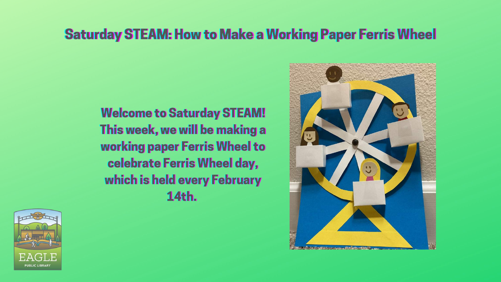#### **Saturday STEAM: How to Make a Working Paper Ferris Wheel**

**Welcome to Saturday STEAM!** This week, we will be making a **working paper Ferris Wheel to** celebrate Ferris Wheel day, which is held every February **14th.** 



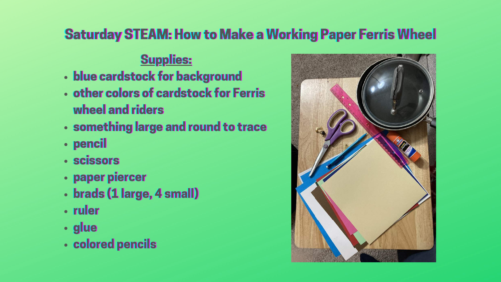#### **Saturday STEAM: How to Make a Working Paper Ferris Wheel**

#### **Supplies:**

- · blue cardstock for background
- · other colors of cardstock for Ferris wheel and riders
- · something large and round to trace
- · pencil
- · scissors
- · paper piercer
- · brads (1 large, 4 small)
- · ruler
- · glue
- **colored pencils**

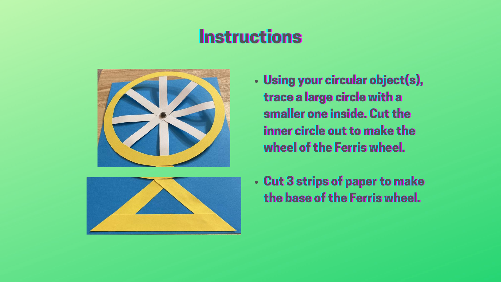

- 
- 



**Using your circular object(s),** trace a large circle with a smaller one inside. Cut the inner circle out to make the wheel of the Ferris wheel.

• Cut 3 strips of paper to make the base of the Ferris wheel.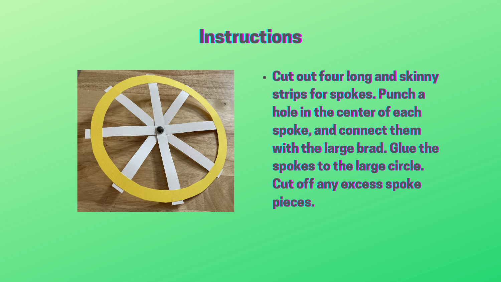

**Cut out four long and skinny** strips for spokes. Punch a hole in the center of each spoke, and connect them with the large brad. Glue the spokes to the large circle. Cut off any excess spoke pieces.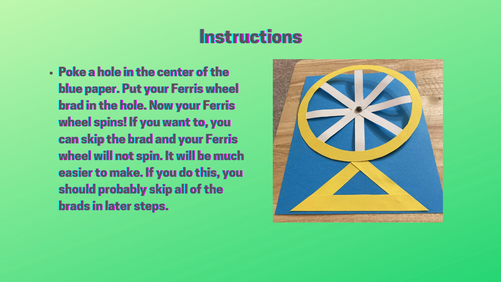$\cdot$  Poke a hole in the center of the blue paper. Put your Ferris wheel brad in the hole. Now your Ferris wheel spins! If you want to, you can skip the brad and your Ferris wheel will not spin. It will be much easier to make. If you do this, you should probably skip all of the brads in later steps.

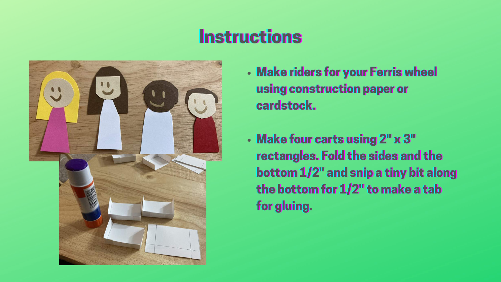- 
- cardstock.
- for gluing.

#### • Make riders for your Ferris wheel using construction paper or

• Make four carts using 2" x 3" rectangles. Fold the sides and the bottom 1/2" and snip a tiny bit along the bottom for 1/2" to make a tab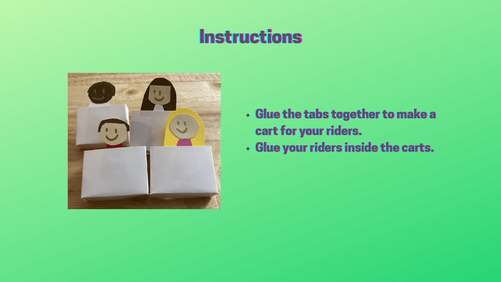

- cart for your riders.
- 

# **. Glue the tabs together to make a** • Glue your riders inside the carts.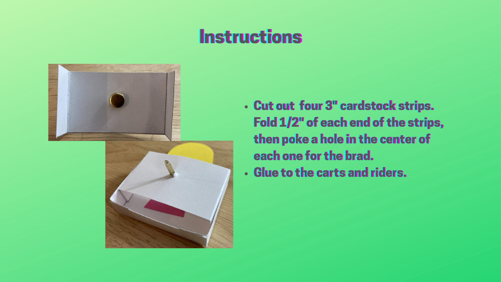

- 
- 

• Cut out four 3" cardstock strips. Fold 1/2" of each end of the strips, then poke a hole in the center of each one for the brad. . Glue to the carts and riders.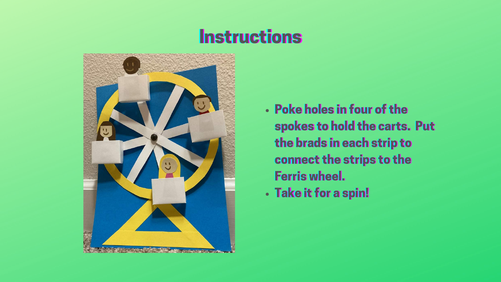

**Ferris wheel.** 

• Poke holes in four of the spokes to hold the carts. Put the brads in each strip to connect the strips to the

· Take it for a spin!